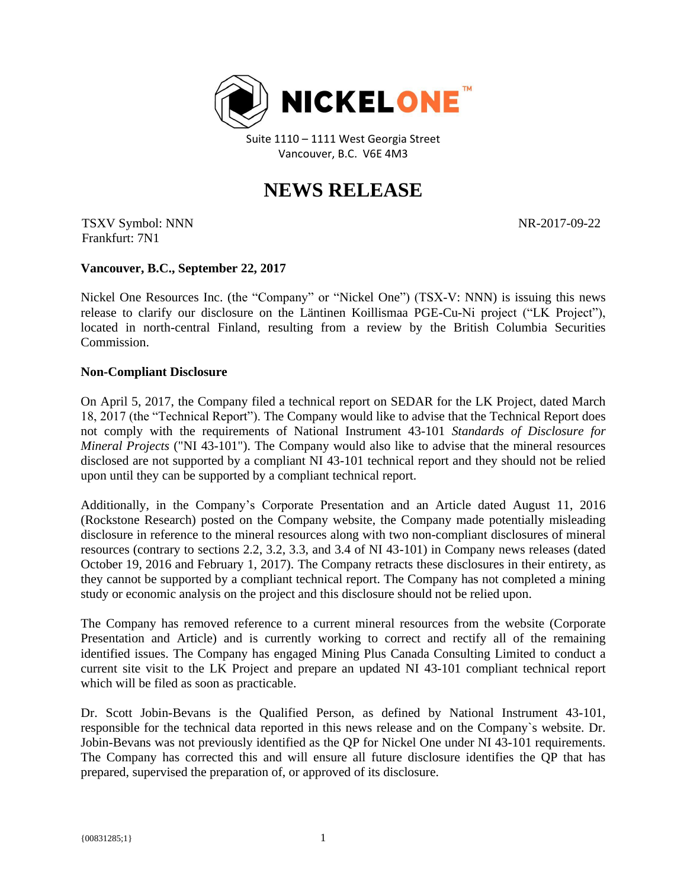

Suite 1110 – 1111 West Georgia Street Vancouver, B.C. V6E 4M3

## **NEWS RELEASE**

TSXV Symbol: NNN Frankfurt: 7N1

NR-2017-09-22

## **Vancouver, B.C., September 22, 2017**

Nickel One Resources Inc. (the "Company" or "Nickel One") (TSX-V: NNN) is issuing this news release to clarify our disclosure on the Läntinen Koillismaa PGE-Cu-Ni project ("LK Project"), located in north-central Finland, resulting from a review by the British Columbia Securities Commission.

## **Non-Compliant Disclosure**

On April 5, 2017, the Company filed a technical report on SEDAR for the LK Project, dated March 18, 2017 (the "Technical Report"). The Company would like to advise that the Technical Report does not comply with the requirements of National Instrument 43-101 *Standards of Disclosure for Mineral Projects* ("NI 43-101"). The Company would also like to advise that the mineral resources disclosed are not supported by a compliant NI 43-101 technical report and they should not be relied upon until they can be supported by a compliant technical report.

Additionally, in the Company's Corporate Presentation and an Article dated August 11, 2016 (Rockstone Research) posted on the Company website, the Company made potentially misleading disclosure in reference to the mineral resources along with two non-compliant disclosures of mineral resources (contrary to sections 2.2, 3.2, 3.3, and 3.4 of NI 43-101) in Company news releases (dated October 19, 2016 and February 1, 2017). The Company retracts these disclosures in their entirety, as they cannot be supported by a compliant technical report. The Company has not completed a mining study or economic analysis on the project and this disclosure should not be relied upon.

The Company has removed reference to a current mineral resources from the website (Corporate Presentation and Article) and is currently working to correct and rectify all of the remaining identified issues. The Company has engaged Mining Plus Canada Consulting Limited to conduct a current site visit to the LK Project and prepare an updated NI 43-101 compliant technical report which will be filed as soon as practicable.

Dr. Scott Jobin-Bevans is the Qualified Person, as defined by National Instrument 43-101, responsible for the technical data reported in this news release and on the Company`s website. Dr. Jobin-Bevans was not previously identified as the QP for Nickel One under NI 43-101 requirements. The Company has corrected this and will ensure all future disclosure identifies the QP that has prepared, supervised the preparation of, or approved of its disclosure.